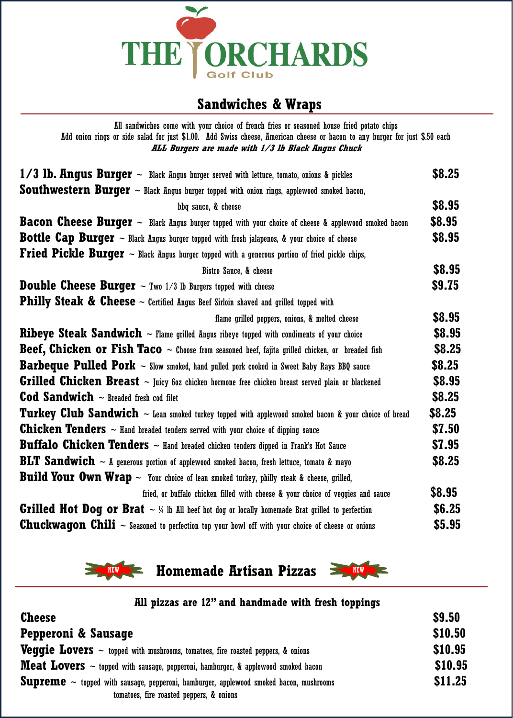

## **Sandwiches & Wraps**

| All sandwiches come with your choice of french fries or seasoned house fried potato chips                                                                                         |               |
|-----------------------------------------------------------------------------------------------------------------------------------------------------------------------------------|---------------|
| Add onion rings or side salad for just \$1.00. Add Swiss cheese, American cheese or bacon to any burger for just \$.50 each<br>ALL Burgers are made with 1/3 lb Black Angus Chuck |               |
|                                                                                                                                                                                   |               |
| $1/3$ lb. Angus Burger $\sim$ Black Angus burger served with lettuce, tomato, onions & pickles                                                                                    | \$8.25        |
| <b>Southwestern Burger</b> $\sim$ Black Angus burger topped with onion rings, applewood smoked bacon,                                                                             |               |
| bbq sauce, & cheese                                                                                                                                                               | \$8.95        |
| <b>Bacon Cheese Burger</b> $\sim$ Black Angus burger topped with your choice of cheese & applewood smoked bacon                                                                   | \$8.95        |
| <b>Bottle Cap Burger</b> $\sim$ Black Angus burger topped with fresh jalapenos, & your choice of cheese                                                                           | \$8.95        |
| <b>Fried Pickle Burger</b> $\sim$ Black Angus burger topped with a generous portion of fried pickle chips,                                                                        |               |
| Bistro Sauce, & cheese                                                                                                                                                            | \$8.95        |
| <b>Double Cheese Burger</b> $\sim$ Two 1/3 lb Burgers topped with cheese                                                                                                          | \$9.75        |
| <b>Philly Steak &amp; Cheese</b> $\sim$ Certified Angus Beef Sirloin shaved and grilled topped with                                                                               |               |
| flame grilled peppers, onions, & melted cheese                                                                                                                                    | <b>\$8.95</b> |
| <b>Ribeye Steak Sandwich</b> $\sim$ Flame grilled Angus ribeye topped with condiments of your choice                                                                              | \$8.95        |
| <b>Beef, Chicken or Fish Taco</b> $\sim$ Choose from seasoned beef, fajita grilled chicken, or breaded fish                                                                       | \$8.25        |
| <b>Barbeque Pulled Pork</b> ~ Slow smoked, hand pulled pork cooked in Sweet Baby Rays BBQ sauce                                                                                   | \$8.25        |
| <b>Grilled Chicken Breast</b> ~ Juicy 60z chicken hormone free chicken breast served plain or blackened                                                                           | \$8.95        |
| <b>Cod Sandwich</b> $\sim$ Breaded fresh cod filet                                                                                                                                | \$8.25        |
| <b>Turkey Club Sandwich</b> $\sim$ Lean smoked turkey topped with applewood smoked bacon & your choice of bread                                                                   | \$8.25        |
| <b>Chicken Tenders</b> $\sim$ Hand breaded tenders served with your choice of dipping sauce                                                                                       | \$7.50        |
| <b>Buffalo Chicken Tenders</b> $\sim$ Hand breaded chicken tenders dipped in Frank's Hot Sauce                                                                                    | \$7.95        |
| <b>BLT Sandwich</b> $\sim$ A generous portion of applewood smoked bacon, fresh lettuce, tomato & mayo                                                                             | \$8.25        |
| <b>Build Your Own Wrap</b> $\sim$ Your choice of lean smoked turkey, philly steak & cheese, grilled,                                                                              |               |
| fried, or buffalo chicken filled with cheese & your choice of veggies and sauce                                                                                                   | \$8.95        |
| <b>Grilled Hot Dog or Brat</b> $\sim$ % Ib All beef hot dog or locally homemade Brat grilled to perfection                                                                        | \$6.25        |
| <b>Chuckwagon Chili</b> $\sim$ Seasoned to perfection top your bowl off with your choice of cheese or onions                                                                      | \$5.95        |

**Homemade Artisan Pizzas** 



| All pizzas are 12" and handmade with fresh toppings                                                                                            |                |
|------------------------------------------------------------------------------------------------------------------------------------------------|----------------|
| <b>Cheese</b>                                                                                                                                  | \$9.50         |
| Pepperoni & Sausage                                                                                                                            | \$10.50        |
| <b>Veggie Lovers</b> $\sim$ topped with mushrooms, tomatoes, fire roasted peppers, & onions                                                    | <b>\$10.95</b> |
| <b>Meat Lovers</b> $\sim$ topped with sausage, pepperoni, hamburger, & applewood smoked bacon                                                  | <b>\$10.95</b> |
| <b>Supreme</b> $\sim$ topped with sausage, pepperoni, hamburger, applewood smoked bacon, mushrooms<br>tomatoes, fire roasted peppers, & onions | \$11.25        |